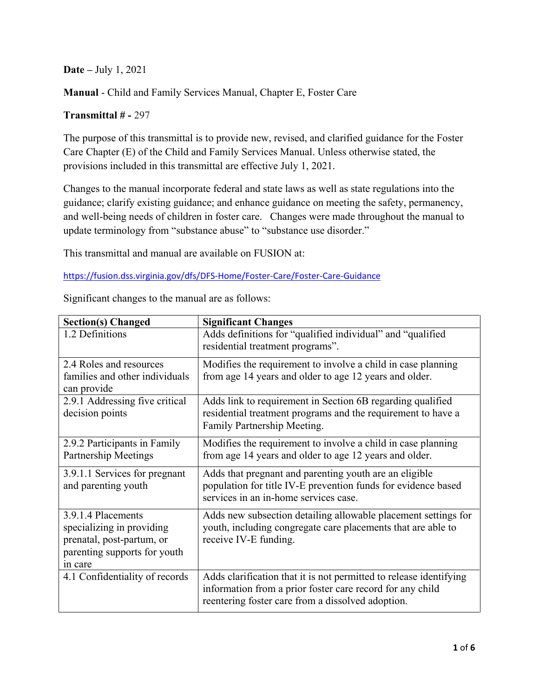**Date –** July 1, 2021

**Manual** - Child and Family Services Manual, Chapter E, Foster Care

## **Transmittal # -** 297

The purpose of this transmittal is to provide new, revised, and clarified guidance for the Foster Care Chapter (E) of the Child and Family Services Manual. Unless otherwise stated, the provisions included in this transmittal are effective July 1, 2021.

Changes to the manual incorporate federal and state laws as well as state regulations into the guidance; clarify existing guidance; and enhance guidance on meeting the safety, permanency, and well-being needs of children in foster care. Changes were made throughout the manual to update terminology from "substance abuse" to "substance use disorder."

This transmittal and manual are available on FUSION at:

<https://fusion.dss.virginia.gov/dfs/DFS-Home/Foster-Care/Foster-Care-Guidance>

| <b>Section(s) Changed</b>                                                                                               | <b>Significant Changes</b>                                                                                                                                                           |
|-------------------------------------------------------------------------------------------------------------------------|--------------------------------------------------------------------------------------------------------------------------------------------------------------------------------------|
| 1.2 Definitions                                                                                                         | Adds definitions for "qualified individual" and "qualified<br>residential treatment programs".                                                                                       |
| 2.4 Roles and resources<br>families and other individuals<br>can provide                                                | Modifies the requirement to involve a child in case planning<br>from age 14 years and older to age 12 years and older.                                                               |
| 2.9.1 Addressing five critical<br>decision points                                                                       | Adds link to requirement in Section 6B regarding qualified<br>residential treatment programs and the requirement to have a<br>Family Partnership Meeting.                            |
| 2.9.2 Participants in Family<br><b>Partnership Meetings</b>                                                             | Modifies the requirement to involve a child in case planning<br>from age 14 years and older to age 12 years and older.                                                               |
| 3.9.1.1 Services for pregnant<br>and parenting youth                                                                    | Adds that pregnant and parenting youth are an eligible<br>population for title IV-E prevention funds for evidence based<br>services in an in-home services case.                     |
| 3.9.1.4 Placements<br>specializing in providing<br>prenatal, post-partum, or<br>parenting supports for youth<br>in care | Adds new subsection detailing allowable placement settings for<br>youth, including congregate care placements that are able to<br>receive IV-E funding.                              |
| 4.1 Confidentiality of records                                                                                          | Adds clarification that it is not permitted to release identifying<br>information from a prior foster care record for any child<br>reentering foster care from a dissolved adoption. |

Significant changes to the manual are as follows: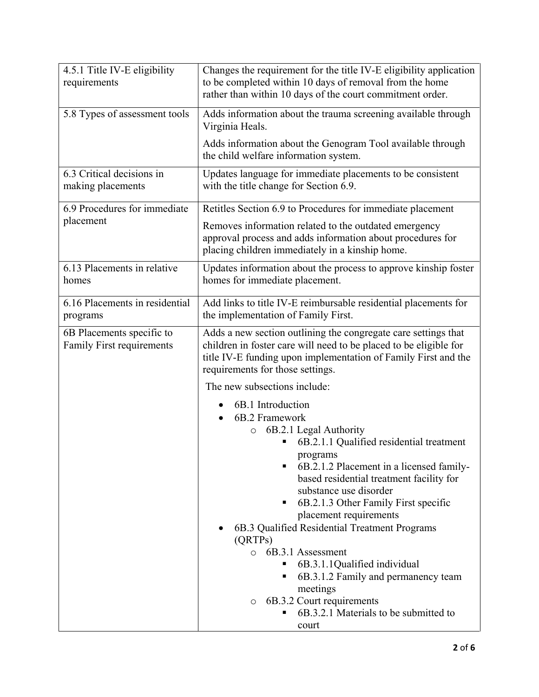| 4.5.1 Title IV-E eligibility<br>requirements                  | Changes the requirement for the title IV-E eligibility application<br>to be completed within 10 days of removal from the home<br>rather than within 10 days of the court commitment order.                                                                                                                                                                                                                                                                                                                                                                                          |
|---------------------------------------------------------------|-------------------------------------------------------------------------------------------------------------------------------------------------------------------------------------------------------------------------------------------------------------------------------------------------------------------------------------------------------------------------------------------------------------------------------------------------------------------------------------------------------------------------------------------------------------------------------------|
| 5.8 Types of assessment tools                                 | Adds information about the trauma screening available through<br>Virginia Heals.                                                                                                                                                                                                                                                                                                                                                                                                                                                                                                    |
|                                                               | Adds information about the Genogram Tool available through<br>the child welfare information system.                                                                                                                                                                                                                                                                                                                                                                                                                                                                                 |
| 6.3 Critical decisions in<br>making placements                | Updates language for immediate placements to be consistent<br>with the title change for Section 6.9.                                                                                                                                                                                                                                                                                                                                                                                                                                                                                |
| 6.9 Procedures for immediate                                  | Retitles Section 6.9 to Procedures for immediate placement                                                                                                                                                                                                                                                                                                                                                                                                                                                                                                                          |
| placement                                                     | Removes information related to the outdated emergency<br>approval process and adds information about procedures for<br>placing children immediately in a kinship home.                                                                                                                                                                                                                                                                                                                                                                                                              |
| 6.13 Placements in relative<br>homes                          | Updates information about the process to approve kinship foster<br>homes for immediate placement.                                                                                                                                                                                                                                                                                                                                                                                                                                                                                   |
| 6.16 Placements in residential<br>programs                    | Add links to title IV-E reimbursable residential placements for<br>the implementation of Family First.                                                                                                                                                                                                                                                                                                                                                                                                                                                                              |
| 6B Placements specific to<br><b>Family First requirements</b> | Adds a new section outlining the congregate care settings that<br>children in foster care will need to be placed to be eligible for<br>title IV-E funding upon implementation of Family First and the<br>requirements for those settings.                                                                                                                                                                                                                                                                                                                                           |
|                                                               | The new subsections include:                                                                                                                                                                                                                                                                                                                                                                                                                                                                                                                                                        |
|                                                               | 6B.1 Introduction<br>6B.2 Framework<br>6B.2.1 Legal Authority<br>$\circ$<br>6B.2.1.1 Qualified residential treatment<br>programs<br>6B.2.1.2 Placement in a licensed family-<br>based residential treatment facility for<br>substance use disorder<br>6B.2.1.3 Other Family First specific<br>placement requirements<br>6B.3 Qualified Residential Treatment Programs<br>(QRTPs)<br>6B.3.1 Assessment<br>$\circ$<br>6B.3.1.1Qualified individual<br>6B.3.1.2 Family and permanency team<br>٠<br>meetings<br>6B.3.2 Court requirements<br>O<br>6B.3.2.1 Materials to be submitted to |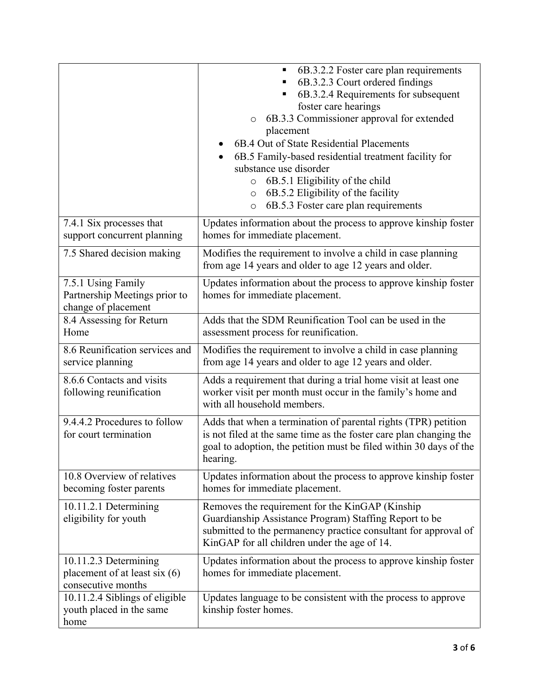|                                                                                | 6B.3.2.2 Foster care plan requirements<br>6B.3.2.3 Court ordered findings<br>6B.3.2.4 Requirements for subsequent<br>foster care hearings<br>6B.3.3 Commissioner approval for extended<br>$\circ$<br>placement<br>6B.4 Out of State Residential Placements<br>6B.5 Family-based residential treatment facility for<br>substance use disorder<br>6B.5.1 Eligibility of the child<br>$\circ$<br>6B.5.2 Eligibility of the facility<br>$\circ$<br>6B.5.3 Foster care plan requirements<br>$\circ$ |
|--------------------------------------------------------------------------------|------------------------------------------------------------------------------------------------------------------------------------------------------------------------------------------------------------------------------------------------------------------------------------------------------------------------------------------------------------------------------------------------------------------------------------------------------------------------------------------------|
| 7.4.1 Six processes that<br>support concurrent planning                        | Updates information about the process to approve kinship foster<br>homes for immediate placement.                                                                                                                                                                                                                                                                                                                                                                                              |
| 7.5 Shared decision making                                                     | Modifies the requirement to involve a child in case planning<br>from age 14 years and older to age 12 years and older.                                                                                                                                                                                                                                                                                                                                                                         |
| 7.5.1 Using Family<br>Partnership Meetings prior to<br>change of placement     | Updates information about the process to approve kinship foster<br>homes for immediate placement.                                                                                                                                                                                                                                                                                                                                                                                              |
| 8.4 Assessing for Return<br>Home                                               | Adds that the SDM Reunification Tool can be used in the<br>assessment process for reunification.                                                                                                                                                                                                                                                                                                                                                                                               |
| 8.6 Reunification services and<br>service planning                             | Modifies the requirement to involve a child in case planning<br>from age 14 years and older to age 12 years and older.                                                                                                                                                                                                                                                                                                                                                                         |
| 8.6.6 Contacts and visits<br>following reunification                           | Adds a requirement that during a trial home visit at least one<br>worker visit per month must occur in the family's home and<br>with all household members.                                                                                                                                                                                                                                                                                                                                    |
| 9.4.4.2 Procedures to follow<br>for court termination                          | Adds that when a termination of parental rights (TPR) petition<br>is not filed at the same time as the foster care plan changing the<br>goal to adoption, the petition must be filed within 30 days of the<br>hearing.                                                                                                                                                                                                                                                                         |
| 10.8 Overview of relatives<br>becoming foster parents                          | Updates information about the process to approve kinship foster<br>homes for immediate placement.                                                                                                                                                                                                                                                                                                                                                                                              |
| 10.11.2.1 Determining<br>eligibility for youth                                 | Removes the requirement for the KinGAP (Kinship)<br>Guardianship Assistance Program) Staffing Report to be<br>submitted to the permanency practice consultant for approval of<br>KinGAP for all children under the age of 14.                                                                                                                                                                                                                                                                  |
| 10.11.2.3 Determining<br>placement of at least six $(6)$<br>consecutive months | Updates information about the process to approve kinship foster<br>homes for immediate placement.                                                                                                                                                                                                                                                                                                                                                                                              |
| 10.11.2.4 Siblings of eligible<br>youth placed in the same<br>home             | Updates language to be consistent with the process to approve<br>kinship foster homes.                                                                                                                                                                                                                                                                                                                                                                                                         |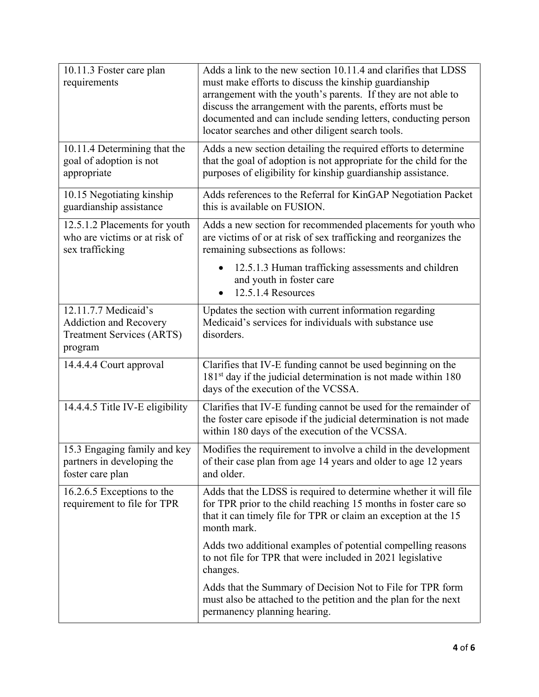| 10.11.3 Foster care plan<br>requirements                                                             | Adds a link to the new section 10.11.4 and clarifies that LDSS<br>must make efforts to discuss the kinship guardianship<br>arrangement with the youth's parents. If they are not able to<br>discuss the arrangement with the parents, efforts must be<br>documented and can include sending letters, conducting person<br>locator searches and other diligent search tools. |
|------------------------------------------------------------------------------------------------------|-----------------------------------------------------------------------------------------------------------------------------------------------------------------------------------------------------------------------------------------------------------------------------------------------------------------------------------------------------------------------------|
| 10.11.4 Determining that the<br>goal of adoption is not<br>appropriate                               | Adds a new section detailing the required efforts to determine<br>that the goal of adoption is not appropriate for the child for the<br>purposes of eligibility for kinship guardianship assistance.                                                                                                                                                                        |
| 10.15 Negotiating kinship<br>guardianship assistance                                                 | Adds references to the Referral for KinGAP Negotiation Packet<br>this is available on FUSION.                                                                                                                                                                                                                                                                               |
| 12.5.1.2 Placements for youth<br>who are victims or at risk of<br>sex trafficking                    | Adds a new section for recommended placements for youth who<br>are victims of or at risk of sex trafficking and reorganizes the<br>remaining subsections as follows:                                                                                                                                                                                                        |
|                                                                                                      | 12.5.1.3 Human trafficking assessments and children<br>and youth in foster care<br>12.5.1.4 Resources                                                                                                                                                                                                                                                                       |
| 12.11.7.7 Medicaid's<br><b>Addiction and Recovery</b><br><b>Treatment Services (ARTS)</b><br>program | Updates the section with current information regarding<br>Medicaid's services for individuals with substance use<br>disorders.                                                                                                                                                                                                                                              |
| 14.4.4.4 Court approval                                                                              | Clarifies that IV-E funding cannot be used beginning on the<br>181 <sup>st</sup> day if the judicial determination is not made within 180<br>days of the execution of the VCSSA.                                                                                                                                                                                            |
| 14.4.4.5 Title IV-E eligibility                                                                      | Clarifies that IV-E funding cannot be used for the remainder of<br>the foster care episode if the judicial determination is not made<br>within 180 days of the execution of the VCSSA.                                                                                                                                                                                      |
| 15.3 Engaging family and key<br>partners in developing the<br>foster care plan                       | Modifies the requirement to involve a child in the development<br>of their case plan from age 14 years and older to age 12 years<br>and older.                                                                                                                                                                                                                              |
| 16.2.6.5 Exceptions to the<br>requirement to file for TPR                                            | Adds that the LDSS is required to determine whether it will file<br>for TPR prior to the child reaching 15 months in foster care so<br>that it can timely file for TPR or claim an exception at the 15<br>month mark.                                                                                                                                                       |
|                                                                                                      | Adds two additional examples of potential compelling reasons<br>to not file for TPR that were included in 2021 legislative<br>changes.                                                                                                                                                                                                                                      |
|                                                                                                      | Adds that the Summary of Decision Not to File for TPR form<br>must also be attached to the petition and the plan for the next<br>permanency planning hearing.                                                                                                                                                                                                               |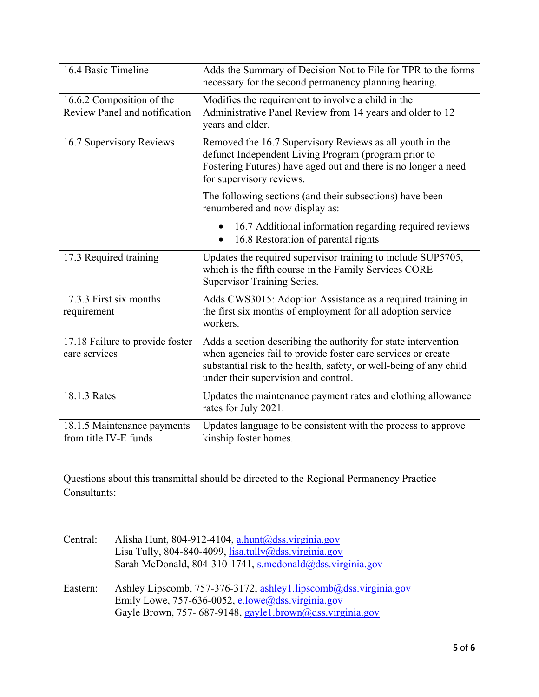| 16.4 Basic Timeline                                        | Adds the Summary of Decision Not to File for TPR to the forms<br>necessary for the second permanency planning hearing.                                                                                                                       |
|------------------------------------------------------------|----------------------------------------------------------------------------------------------------------------------------------------------------------------------------------------------------------------------------------------------|
| 16.6.2 Composition of the<br>Review Panel and notification | Modifies the requirement to involve a child in the<br>Administrative Panel Review from 14 years and older to 12<br>years and older.                                                                                                          |
| 16.7 Supervisory Reviews                                   | Removed the 16.7 Supervisory Reviews as all youth in the<br>defunct Independent Living Program (program prior to<br>Fostering Futures) have aged out and there is no longer a need<br>for supervisory reviews.                               |
|                                                            | The following sections (and their subsections) have been<br>renumbered and now display as:                                                                                                                                                   |
|                                                            | 16.7 Additional information regarding required reviews<br>16.8 Restoration of parental rights<br>$\bullet$                                                                                                                                   |
| 17.3 Required training                                     | Updates the required supervisor training to include SUP5705,<br>which is the fifth course in the Family Services CORE<br>Supervisor Training Series.                                                                                         |
| 17.3.3 First six months<br>requirement                     | Adds CWS3015: Adoption Assistance as a required training in<br>the first six months of employment for all adoption service<br>workers.                                                                                                       |
| 17.18 Failure to provide foster<br>care services           | Adds a section describing the authority for state intervention<br>when agencies fail to provide foster care services or create<br>substantial risk to the health, safety, or well-being of any child<br>under their supervision and control. |
| 18.1.3 Rates                                               | Updates the maintenance payment rates and clothing allowance<br>rates for July 2021.                                                                                                                                                         |
| 18.1.5 Maintenance payments<br>from title IV-E funds       | Updates language to be consistent with the process to approve<br>kinship foster homes.                                                                                                                                                       |

Questions about this transmittal should be directed to the Regional Permanency Practice Consultants:

| Central: | Alisha Hunt, 804-912-4104, a.hunt@dss.virginia.gov                |
|----------|-------------------------------------------------------------------|
|          | Lisa Tully, 804-840-4099, lisa.tully@dss.virginia.gov             |
|          | Sarah McDonald, 804-310-1741, s.mcdonald@dss.virginia.gov         |
| Eastern: | Ashley Lipscomb, 757-376-3172, ashley 1.lipscomb@dss.virginia.gov |
|          | Emily Lowe, 757-636-0052, e.lowe@dss.virginia.gov                 |
|          | Gayle Brown, 757-687-9148, gayle1.brown@dss.virginia.gov          |